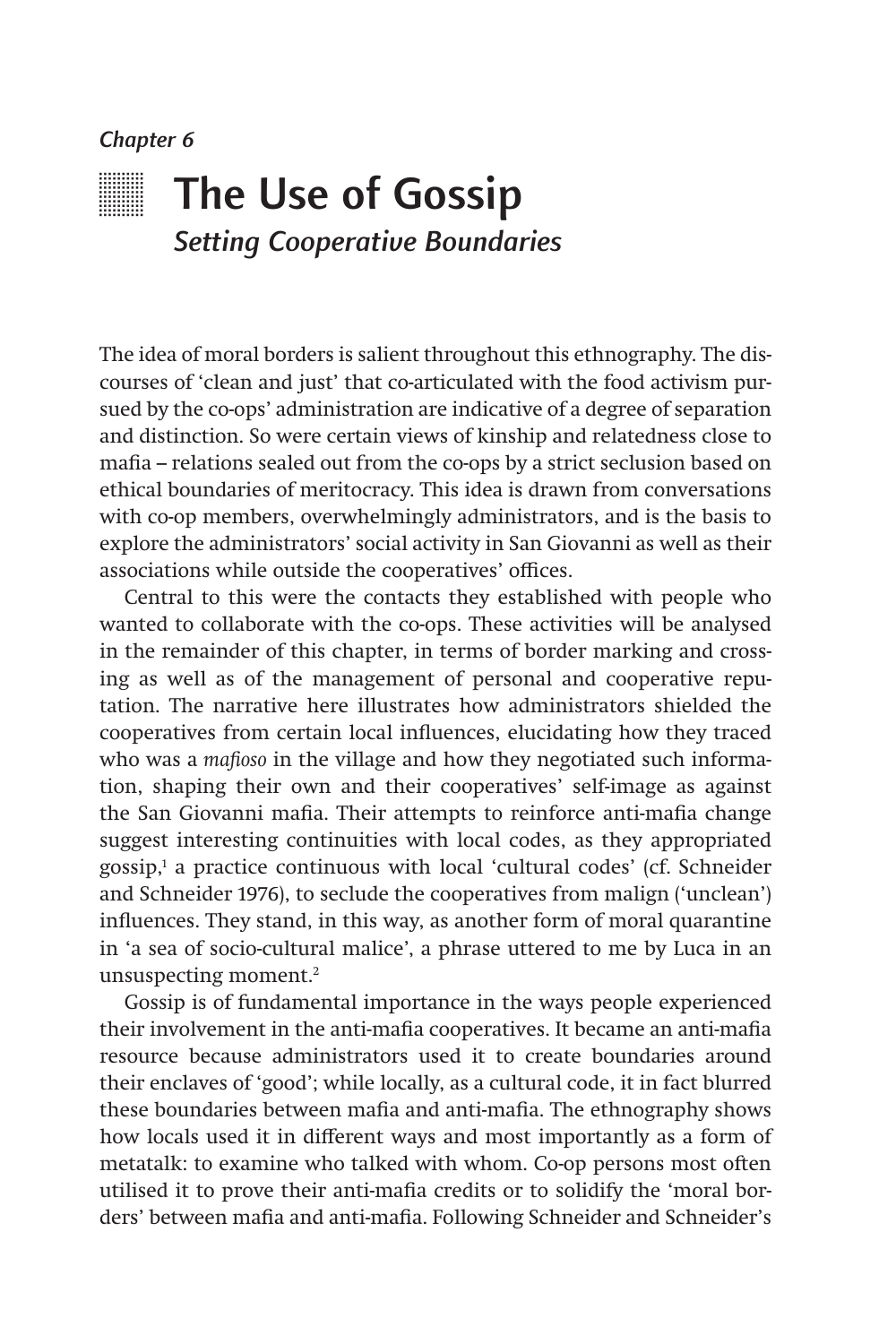## *Chapter 6*



The idea of moral borders is salient throughout this ethnography. The discourses of 'clean and just' that co-articulated with the food activism pursued by the co-ops' administration are indicative of a degree of separation and distinction. So were certain views of kinship and relatedness close to mafia – relations sealed out from the co-ops by a strict seclusion based on ethical boundaries of meritocracy. This idea is drawn from conversations with co-op members, overwhelmingly administrators, and is the basis to explore the administrators' social activity in San Giovanni as well as their associations while outside the cooperatives' offices.

Central to this were the contacts they established with people who wanted to collaborate with the co-ops. These activities will be analysed in the remainder of this chapter, in terms of border marking and crossing as well as of the management of personal and cooperative reputation. The narrative here illustrates how administrators shielded the cooperatives from certain local influences, elucidating how they traced who was a *mafioso* in the village and how they negotiated such information, shaping their own and their cooperatives' self-image as against the San Giovanni mafia. Their attempts to reinforce anti-mafia change suggest interesting continuities with local codes, as they appropriated gossip,<sup>1</sup> a practice continuous with local 'cultural codes' (cf. Schneider and Schneider 1976), to seclude the cooperatives from malign ('unclean') influences. They stand, in this way, as another form of moral quarantine in 'a sea of socio-cultural malice', a phrase uttered to me by Luca in an unsuspecting moment.2

Gossip is of fundamental importance in the ways people experienced their involvement in the anti-mafia cooperatives. It became an anti-mafia resource because administrators used it to create boundaries around their enclaves of 'good'; while locally, as a cultural code, it in fact blurred these boundaries between mafia and anti-mafia. The ethnography shows how locals used it in different ways and most importantly as a form of metatalk: to examine who talked with whom. Co-op persons most often utilised it to prove their anti-mafia credits or to solidify the 'moral borders' between mafia and anti-mafia. Following Schneider and Schneider's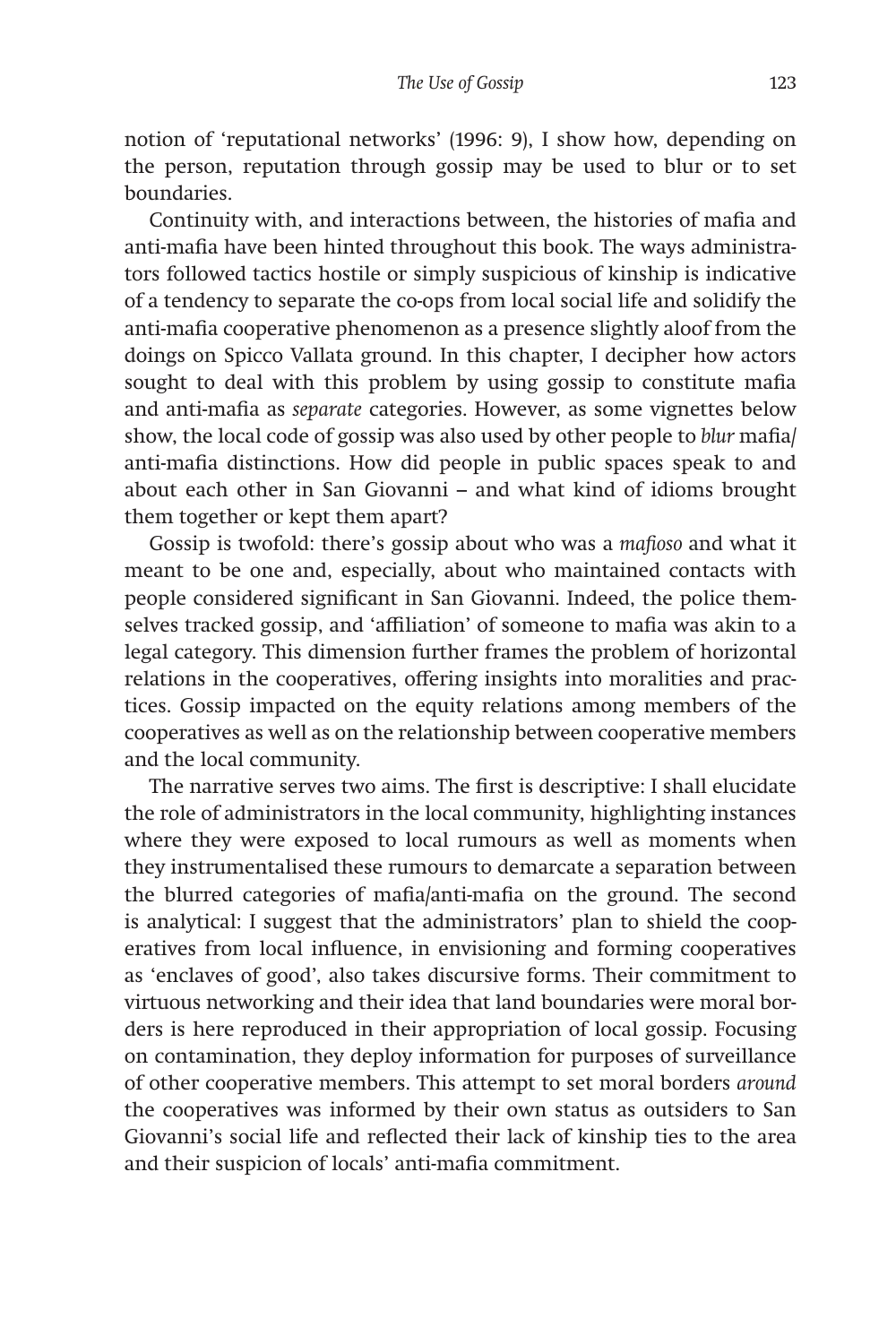notion of 'reputational networks' (1996: 9), I show how, depending on the person, reputation through gossip may be used to blur or to set boundaries.

Continuity with, and interactions between, the histories of mafia and anti-mafia have been hinted throughout this book. The ways administrators followed tactics hostile or simply suspicious of kinship is indicative of a tendency to separate the co-ops from local social life and solidify the anti-mafia cooperative phenomenon as a presence slightly aloof from the doings on Spicco Vallata ground. In this chapter, I decipher how actors sought to deal with this problem by using gossip to constitute mafia and anti-mafia as *separate* categories. However, as some vignettes below show, the local code of gossip was also used by other people to *blur* mafia/ anti-mafia distinctions. How did people in public spaces speak to and about each other in San Giovanni – and what kind of idioms brought them together or kept them apart?

Gossip is twofold: there's gossip about who was a *mafioso* and what it meant to be one and, especially, about who maintained contacts with people considered significant in San Giovanni. Indeed, the police themselves tracked gossip, and 'affiliation' of someone to mafia was akin to a legal category. This dimension further frames the problem of horizontal relations in the cooperatives, offering insights into moralities and practices. Gossip impacted on the equity relations among members of the cooperatives as well as on the relationship between cooperative members and the local community.

The narrative serves two aims. The first is descriptive: I shall elucidate the role of administrators in the local community, highlighting instances where they were exposed to local rumours as well as moments when they instrumentalised these rumours to demarcate a separation between the blurred categories of mafia/anti-mafia on the ground. The second is analytical: I suggest that the administrators' plan to shield the cooperatives from local influence, in envisioning and forming cooperatives as 'enclaves of good', also takes discursive forms. Their commitment to virtuous networking and their idea that land boundaries were moral borders is here reproduced in their appropriation of local gossip. Focusing on contamination, they deploy information for purposes of surveillance of other cooperative members. This attempt to set moral borders *around* the cooperatives was informed by their own status as outsiders to San Giovanni's social life and reflected their lack of kinship ties to the area and their suspicion of locals' anti-mafia commitment.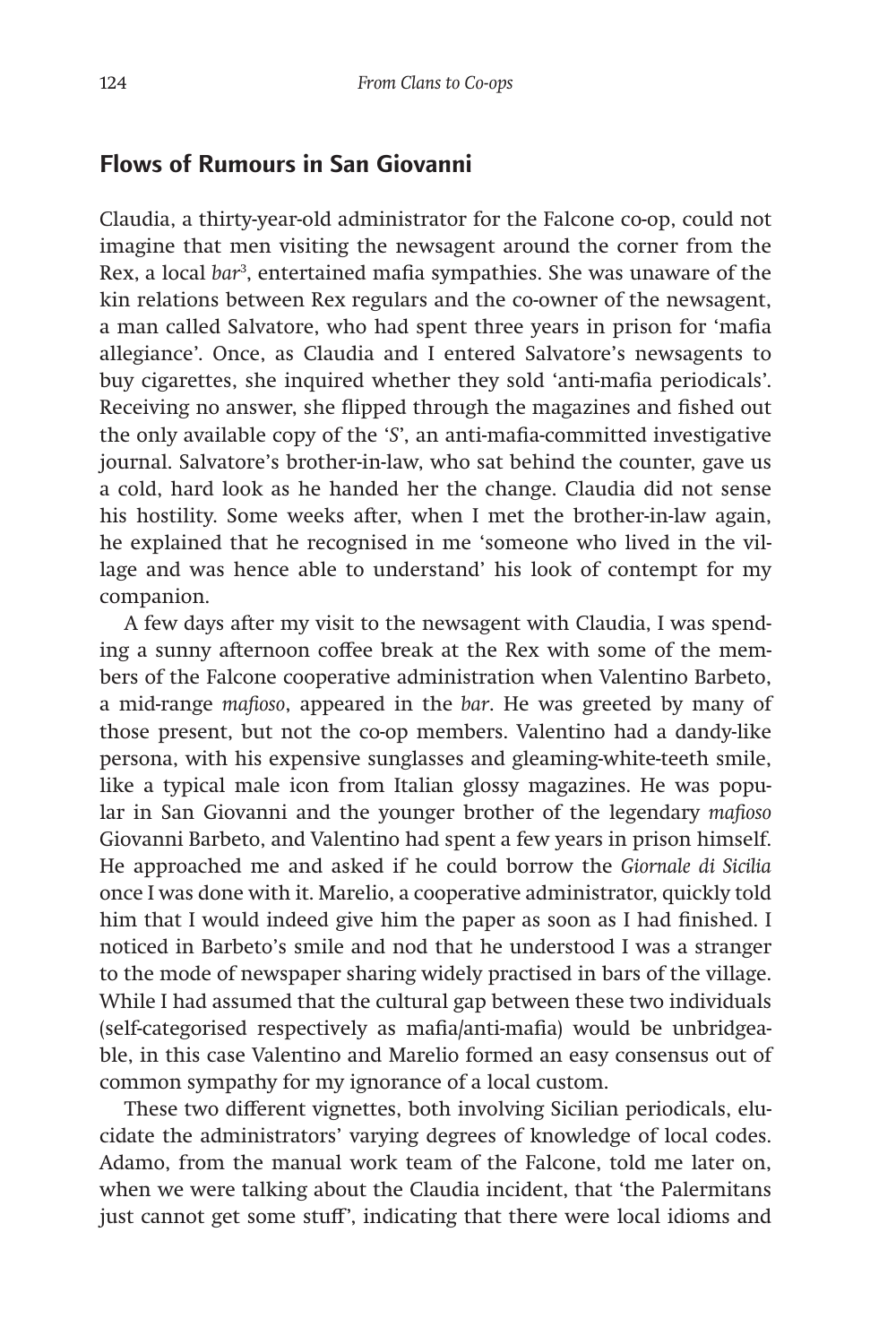## **Flows of Rumours in San Giovanni**

Claudia, a thirty-year-old administrator for the Falcone co-op, could not imagine that men visiting the newsagent around the corner from the Rex, a local bar<sup>3</sup>, entertained mafia sympathies. She was unaware of the kin relations between Rex regulars and the co-owner of the newsagent, a man called Salvatore, who had spent three years in prison for 'mafia allegiance'. Once, as Claudia and I entered Salvatore's newsagents to buy cigarettes, she inquired whether they sold 'anti-mafia periodicals'. Receiving no answer, she flipped through the magazines and fished out the only available copy of the '*S*', an anti-mafia-committed investigative journal. Salvatore's brother-in-law, who sat behind the counter, gave us a cold, hard look as he handed her the change. Claudia did not sense his hostility. Some weeks after, when I met the brother-in-law again, he explained that he recognised in me 'someone who lived in the village and was hence able to understand' his look of contempt for my companion.

A few days after my visit to the newsagent with Claudia, I was spending a sunny afternoon coffee break at the Rex with some of the members of the Falcone cooperative administration when Valentino Barbeto, a mid-range *mafioso*, appeared in the *bar*. He was greeted by many of those present, but not the co-op members. Valentino had a dandy-like persona, with his expensive sunglasses and gleaming-white-teeth smile, like a typical male icon from Italian glossy magazines. He was popular in San Giovanni and the younger brother of the legendary *mafioso* Giovanni Barbeto, and Valentino had spent a few years in prison himself. He approached me and asked if he could borrow the *Giornale di Sicilia* once I was done with it. Marelio, a cooperative administrator, quickly told him that I would indeed give him the paper as soon as I had finished. I noticed in Barbeto's smile and nod that he understood I was a stranger to the mode of newspaper sharing widely practised in bars of the village. While I had assumed that the cultural gap between these two individuals (self-categorised respectively as mafia/anti-mafia) would be unbridgeable, in this case Valentino and Marelio formed an easy consensus out of common sympathy for my ignorance of a local custom.

These two different vignettes, both involving Sicilian periodicals, elucidate the administrators' varying degrees of knowledge of local codes. Adamo, from the manual work team of the Falcone, told me later on, when we were talking about the Claudia incident, that 'the Palermitans just cannot get some stuff', indicating that there were local idioms and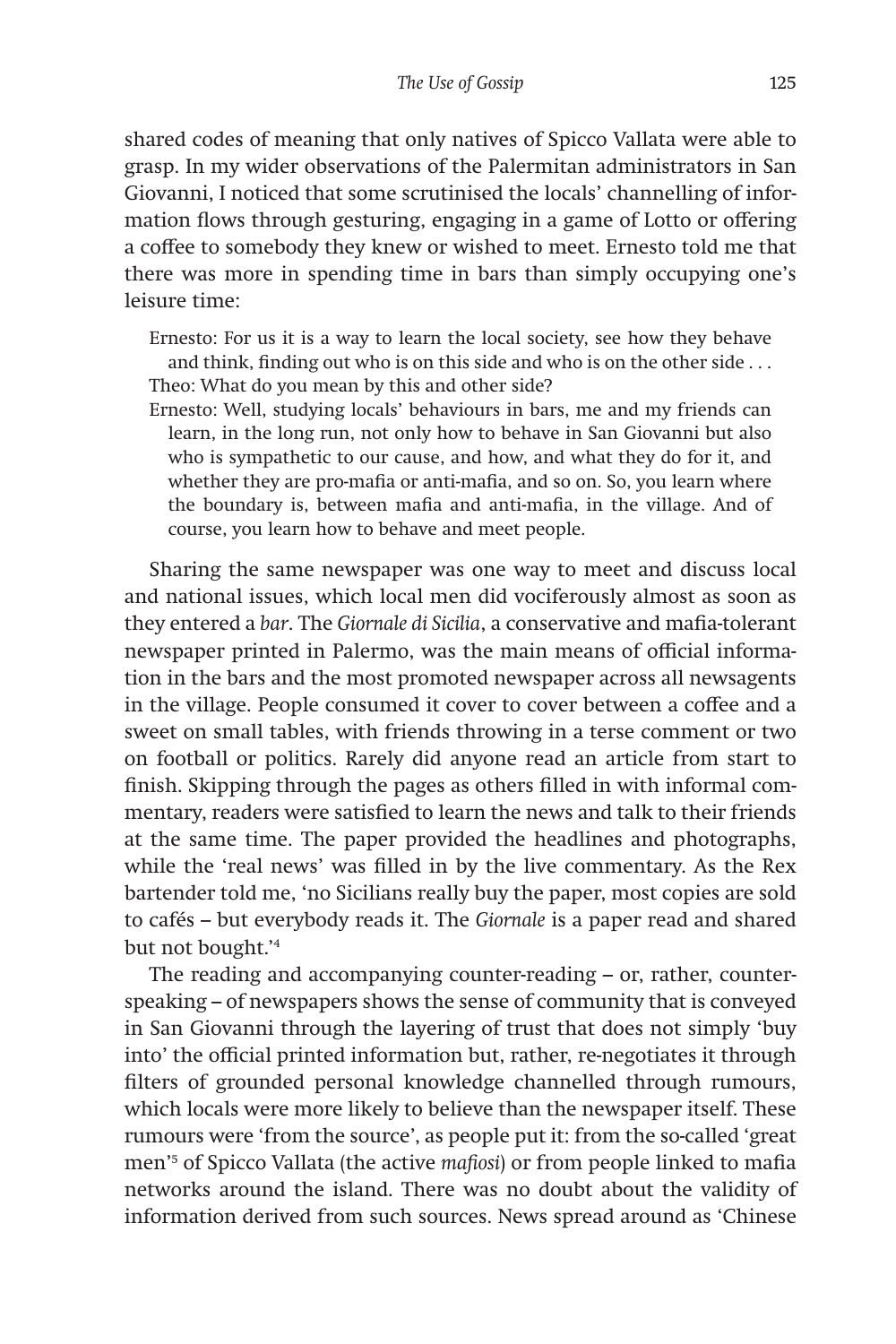shared codes of meaning that only natives of Spicco Vallata were able to grasp. In my wider observations of the Palermitan administrators in San Giovanni, I noticed that some scrutinised the locals' channelling of information flows through gesturing, engaging in a game of Lotto or offering a coffee to somebody they knew or wished to meet. Ernesto told me that there was more in spending time in bars than simply occupying one's leisure time:

Ernesto: For us it is a way to learn the local society, see how they behave and think, finding out who is on this side and who is on the other side . . . Theo: What do you mean by this and other side?

Ernesto: Well, studying locals' behaviours in bars, me and my friends can learn, in the long run, not only how to behave in San Giovanni but also who is sympathetic to our cause, and how, and what they do for it, and whether they are pro-mafia or anti-mafia, and so on. So, you learn where the boundary is, between mafia and anti-mafia, in the village. And of course, you learn how to behave and meet people.

Sharing the same newspaper was one way to meet and discuss local and national issues, which local men did vociferously almost as soon as they entered a *bar*. The *Giornale di Sicilia*, a conservative and mafia-tolerant newspaper printed in Palermo, was the main means of official information in the bars and the most promoted newspaper across all newsagents in the village. People consumed it cover to cover between a coffee and a sweet on small tables, with friends throwing in a terse comment or two on football or politics. Rarely did anyone read an article from start to finish. Skipping through the pages as others filled in with informal commentary, readers were satisfied to learn the news and talk to their friends at the same time. The paper provided the headlines and photographs, while the 'real news' was filled in by the live commentary. As the Rex bartender told me, 'no Sicilians really buy the paper, most copies are sold to cafés – but everybody reads it. The *Giornale* is a paper read and shared but not bought.'4

The reading and accompanying counter-reading – or, rather, counterspeaking – of newspapers shows the sense of community that is conveyed in San Giovanni through the layering of trust that does not simply 'buy into' the official printed information but, rather, re-negotiates it through filters of grounded personal knowledge channelled through rumours, which locals were more likely to believe than the newspaper itself. These rumours were 'from the source', as people put it: from the so-called 'great men'5 of Spicco Vallata (the active *mafiosi*) or from people linked to mafia networks around the island. There was no doubt about the validity of information derived from such sources. News spread around as 'Chinese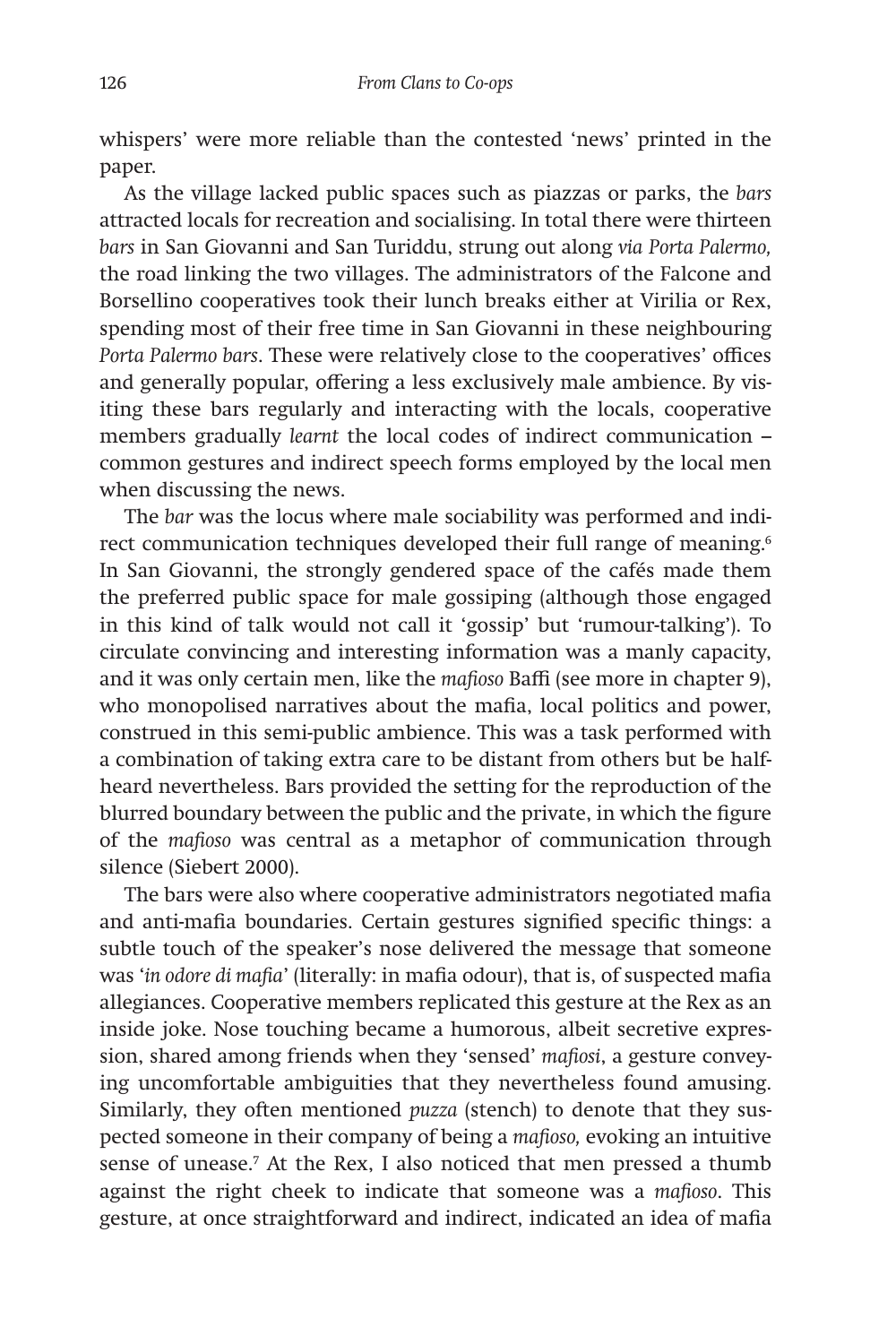whispers' were more reliable than the contested 'news' printed in the paper.

As the village lacked public spaces such as piazzas or parks, the *bars* attracted locals for recreation and socialising. In total there were thirteen *bars* in San Giovanni and San Turiddu, strung out along *via Porta Palermo,* the road linking the two villages. The administrators of the Falcone and Borsellino cooperatives took their lunch breaks either at Virilia or Rex, spending most of their free time in San Giovanni in these neighbouring *Porta Palermo bars*. These were relatively close to the cooperatives' offices and generally popular, offering a less exclusively male ambience. By visiting these bars regularly and interacting with the locals, cooperative members gradually *learnt* the local codes of indirect communication – common gestures and indirect speech forms employed by the local men when discussing the news.

The *bar* was the locus where male sociability was performed and indirect communication techniques developed their full range of meaning.<sup>6</sup> In San Giovanni, the strongly gendered space of the cafés made them the preferred public space for male gossiping (although those engaged in this kind of talk would not call it 'gossip' but 'rumour-talking'). To circulate convincing and interesting information was a manly capacity, and it was only certain men, like the *mafioso* Baffi (see more in chapter 9), who monopolised narratives about the mafia, local politics and power, construed in this semi-public ambience. This was a task performed with a combination of taking extra care to be distant from others but be halfheard nevertheless. Bars provided the setting for the reproduction of the blurred boundary between the public and the private, in which the figure of the *mafioso* was central as a metaphor of communication through silence (Siebert 2000).

The bars were also where cooperative administrators negotiated mafia and anti-mafia boundaries. Certain gestures signified specific things: a subtle touch of the speaker's nose delivered the message that someone was '*in odore di mafia*' (literally: in mafia odour), that is, of suspected mafia allegiances. Cooperative members replicated this gesture at the Rex as an inside joke. Nose touching became a humorous, albeit secretive expression, shared among friends when they 'sensed' *mafiosi*, a gesture conveying uncomfortable ambiguities that they nevertheless found amusing. Similarly, they often mentioned *puzza* (stench) to denote that they suspected someone in their company of being a *mafioso,* evoking an intuitive sense of unease.<sup>7</sup> At the Rex, I also noticed that men pressed a thumb against the right cheek to indicate that someone was a *mafioso*. This gesture, at once straightforward and indirect, indicated an idea of mafia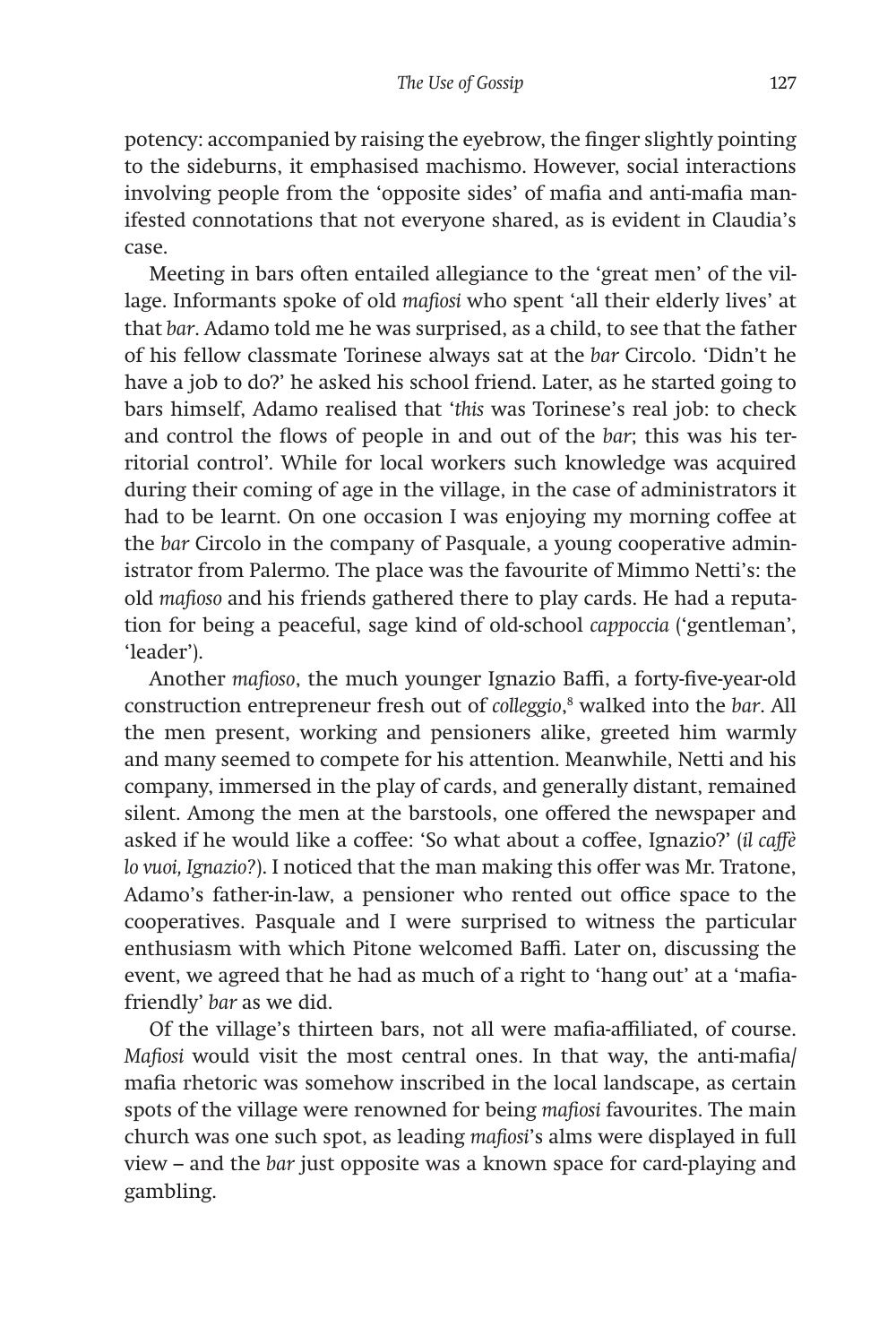potency: accompanied by raising the eyebrow, the finger slightly pointing to the sideburns, it emphasised machismo. However, social interactions involving people from the 'opposite sides' of mafia and anti-mafia manifested connotations that not everyone shared, as is evident in Claudia's case.

Meeting in bars often entailed allegiance to the 'great men' of the village. Informants spoke of old *mafiosi* who spent 'all their elderly lives' at that *bar*. Adamo told me he was surprised, as a child, to see that the father of his fellow classmate Torinese always sat at the *bar* Circolo. 'Didn't he have a job to do?' he asked his school friend. Later, as he started going to bars himself, Adamo realised that '*this* was Torinese's real job: to check and control the flows of people in and out of the *bar*; this was his territorial control'. While for local workers such knowledge was acquired during their coming of age in the village, in the case of administrators it had to be learnt. On one occasion I was enjoying my morning coffee at the *bar* Circolo in the company of Pasquale, a young cooperative administrator from Palermo*.* The place was the favourite of Mimmo Netti's: the old *mafioso* and his friends gathered there to play cards. He had a reputation for being a peaceful, sage kind of old-school *cappoccia* ('gentleman', 'leader').

Another *mafioso*, the much younger Ignazio Baffi, a forty-five-year-old construction entrepreneur fresh out of *colleggio*, 8 walked into the *bar*. All the men present, working and pensioners alike, greeted him warmly and many seemed to compete for his attention. Meanwhile, Netti and his company, immersed in the play of cards, and generally distant, remained silent. Among the men at the barstools, one offered the newspaper and asked if he would like a coffee: 'So what about a coffee, Ignazio?' (*il caffè lo vuoi, Ignazio?*). I noticed that the man making this offer was Mr. Tratone, Adamo's father-in-law, a pensioner who rented out office space to the cooperatives. Pasquale and I were surprised to witness the particular enthusiasm with which Pitone welcomed Baffi. Later on, discussing the event, we agreed that he had as much of a right to 'hang out' at a 'mafiafriendly' *bar* as we did.

Of the village's thirteen bars, not all were mafia-affiliated, of course. *Mafiosi* would visit the most central ones. In that way, the anti-mafia/ mafia rhetoric was somehow inscribed in the local landscape, as certain spots of the village were renowned for being *mafiosi* favourites. The main church was one such spot, as leading *mafiosi*'s alms were displayed in full view – and the *bar* just opposite was a known space for card-playing and gambling.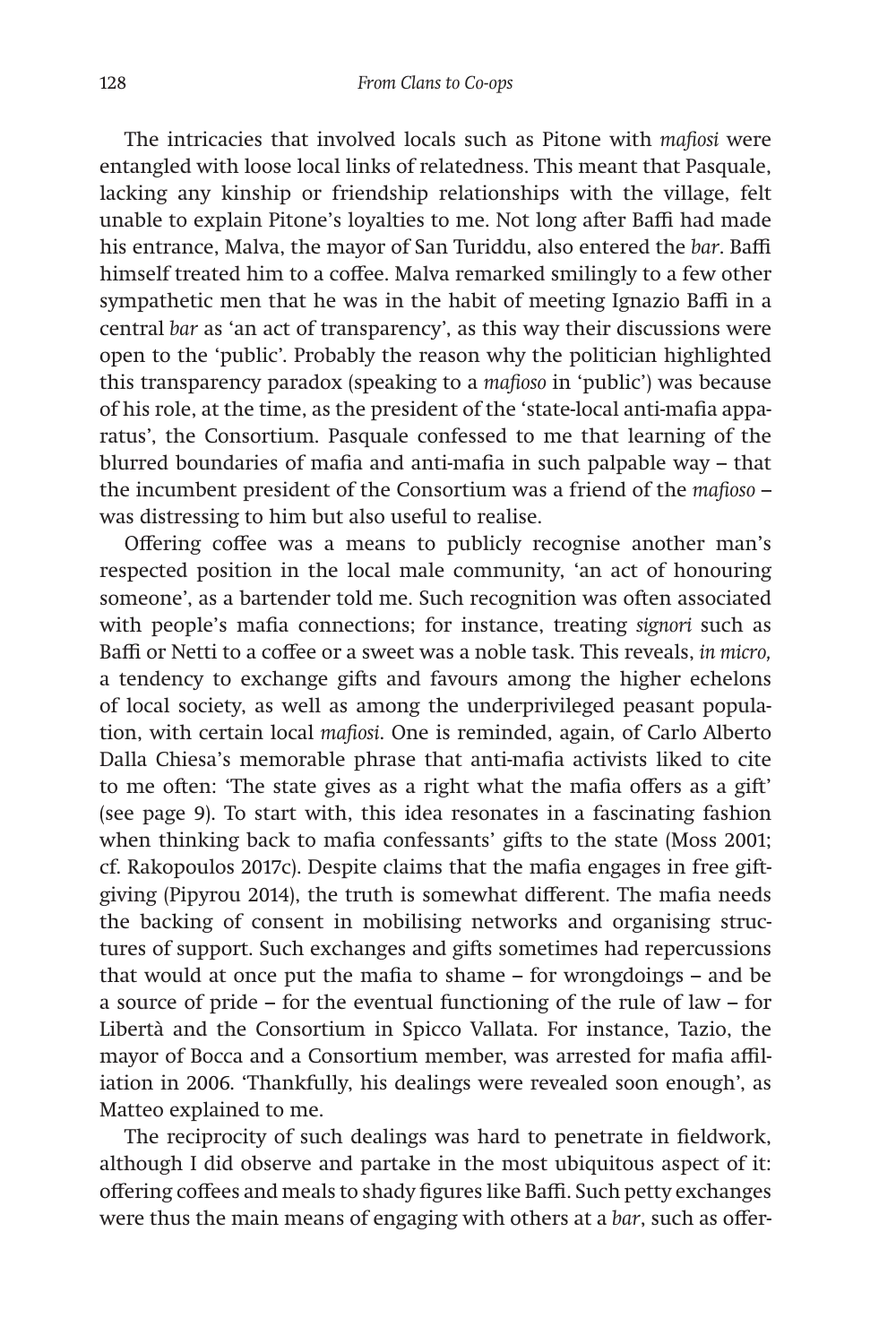The intricacies that involved locals such as Pitone with *mafiosi* were entangled with loose local links of relatedness. This meant that Pasquale, lacking any kinship or friendship relationships with the village, felt unable to explain Pitone's loyalties to me. Not long after Baffi had made his entrance, Malva, the mayor of San Turiddu, also entered the *bar*. Baffi himself treated him to a coffee. Malva remarked smilingly to a few other sympathetic men that he was in the habit of meeting Ignazio Baffi in a central *bar* as 'an act of transparency', as this way their discussions were open to the 'public'. Probably the reason why the politician highlighted this transparency paradox (speaking to a *mafioso* in 'public') was because of his role, at the time, as the president of the 'state-local anti-mafia apparatus', the Consortium. Pasquale confessed to me that learning of the blurred boundaries of mafia and anti-mafia in such palpable way – that the incumbent president of the Consortium was a friend of the *mafioso* – was distressing to him but also useful to realise.

Offering coffee was a means to publicly recognise another man's respected position in the local male community, 'an act of honouring someone', as a bartender told me. Such recognition was often associated with people's mafia connections; for instance, treating *signori* such as Baffi or Netti to a coffee or a sweet was a noble task. This reveals, *in micro,*  a tendency to exchange gifts and favours among the higher echelons of local society, as well as among the underprivileged peasant population, with certain local *mafiosi*. One is reminded, again, of Carlo Alberto Dalla Chiesa's memorable phrase that anti-mafia activists liked to cite to me often: 'The state gives as a right what the mafia offers as a gift' (see page 9). To start with, this idea resonates in a fascinating fashion when thinking back to mafia confessants' gifts to the state (Moss 2001; cf. Rakopoulos 2017c). Despite claims that the mafia engages in free giftgiving (Pipyrou 2014), the truth is somewhat different. The mafia needs the backing of consent in mobilising networks and organising structures of support. Such exchanges and gifts sometimes had repercussions that would at once put the mafia to shame – for wrongdoings – and be a source of pride – for the eventual functioning of the rule of law – for Libertà and the Consortium in Spicco Vallata. For instance, Tazio, the mayor of Bocca and a Consortium member, was arrested for mafia affiliation in 2006. 'Thankfully, his dealings were revealed soon enough', as Matteo explained to me.

The reciprocity of such dealings was hard to penetrate in fieldwork, although I did observe and partake in the most ubiquitous aspect of it: offering coffees and meals to shady figures like Baffi. Such petty exchanges were thus the main means of engaging with others at a *bar*, such as offer-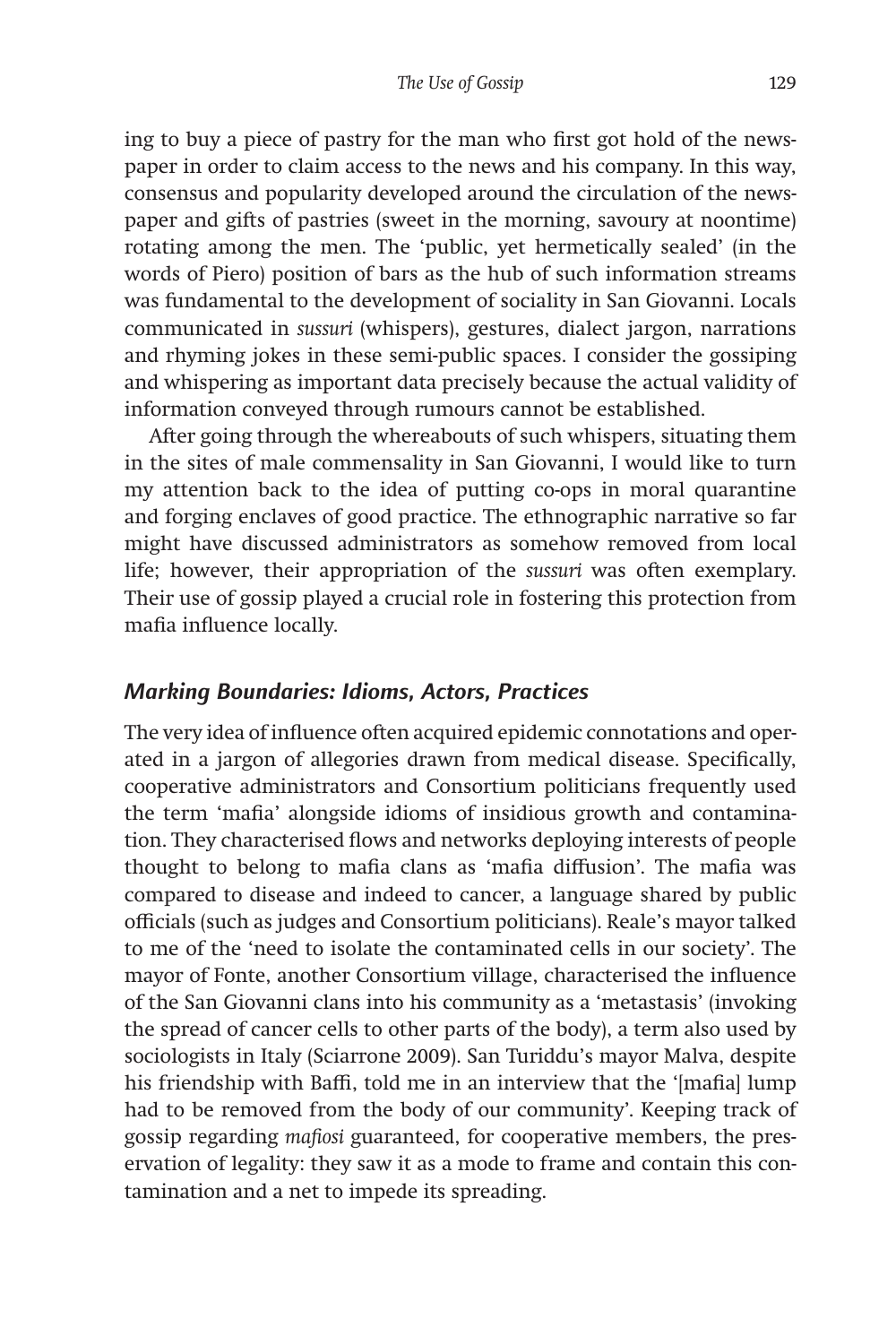ing to buy a piece of pastry for the man who first got hold of the newspaper in order to claim access to the news and his company. In this way, consensus and popularity developed around the circulation of the newspaper and gifts of pastries (sweet in the morning, savoury at noontime) rotating among the men. The 'public, yet hermetically sealed' (in the words of Piero) position of bars as the hub of such information streams was fundamental to the development of sociality in San Giovanni. Locals communicated in *sussuri* (whispers), gestures, dialect jargon, narrations and rhyming jokes in these semi-public spaces. I consider the gossiping and whispering as important data precisely because the actual validity of information conveyed through rumours cannot be established.

After going through the whereabouts of such whispers, situating them in the sites of male commensality in San Giovanni, I would like to turn my attention back to the idea of putting co-ops in moral quarantine and forging enclaves of good practice. The ethnographic narrative so far might have discussed administrators as somehow removed from local life; however, their appropriation of the *sussuri* was often exemplary. Their use of gossip played a crucial role in fostering this protection from mafia influence locally.

#### *Marking Boundaries: Idioms, Actors, Practices*

The very idea of influence often acquired epidemic connotations and operated in a jargon of allegories drawn from medical disease. Specifically, cooperative administrators and Consortium politicians frequently used the term 'mafia' alongside idioms of insidious growth and contamination. They characterised flows and networks deploying interests of people thought to belong to mafia clans as 'mafia diffusion'. The mafia was compared to disease and indeed to cancer, a language shared by public officials (such as judges and Consortium politicians). Reale's mayor talked to me of the 'need to isolate the contaminated cells in our society'. The mayor of Fonte, another Consortium village, characterised the influence of the San Giovanni clans into his community as a 'metastasis' (invoking the spread of cancer cells to other parts of the body), a term also used by sociologists in Italy (Sciarrone 2009). San Turiddu's mayor Malva, despite his friendship with Baffi, told me in an interview that the '[mafia] lump had to be removed from the body of our community'. Keeping track of gossip regarding *mafiosi* guaranteed, for cooperative members, the preservation of legality: they saw it as a mode to frame and contain this contamination and a net to impede its spreading.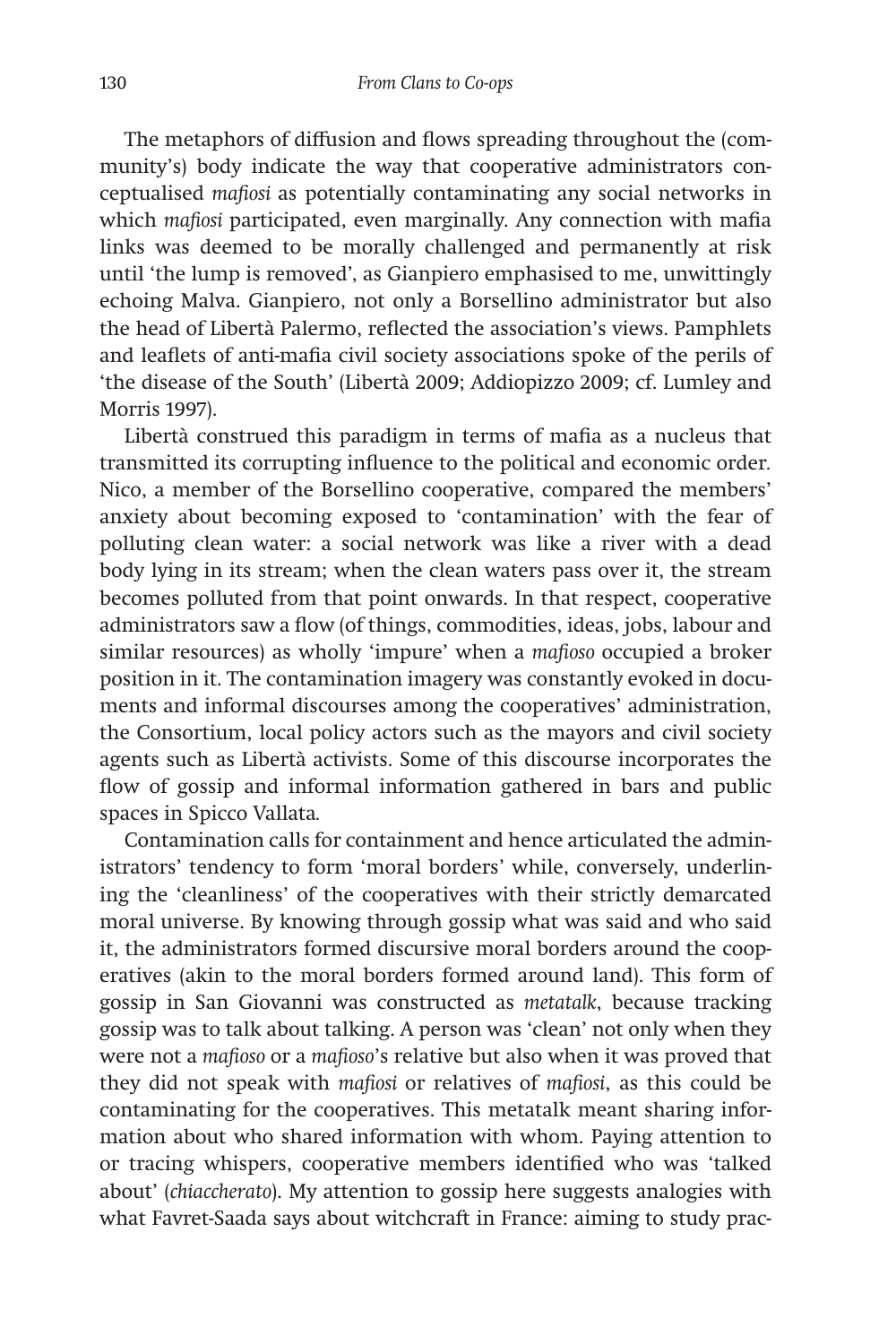The metaphors of diffusion and flows spreading throughout the (community's) body indicate the way that cooperative administrators conceptualised *mafiosi* as potentially contaminating any social networks in which *mafiosi* participated, even marginally. Any connection with mafia links was deemed to be morally challenged and permanently at risk until 'the lump is removed', as Gianpiero emphasised to me, unwittingly echoing Malva. Gianpiero, not only a Borsellino administrator but also the head of Libertà Palermo, reflected the association's views. Pamphlets and leaflets of anti-mafia civil society associations spoke of the perils of 'the disease of the South' (Libertà 2009; Addiopizzo 2009; cf. Lumley and Morris 1997).

Libertà construed this paradigm in terms of mafia as a nucleus that transmitted its corrupting influence to the political and economic order*.*  Nico, a member of the Borsellino cooperative, compared the members' anxiety about becoming exposed to 'contamination' with the fear of polluting clean water: a social network was like a river with a dead body lying in its stream; when the clean waters pass over it, the stream becomes polluted from that point onwards. In that respect, cooperative administrators saw a flow (of things, commodities, ideas, jobs, labour and similar resources) as wholly 'impure' when a *mafioso* occupied a broker position in it. The contamination imagery was constantly evoked in documents and informal discourses among the cooperatives' administration, the Consortium, local policy actors such as the mayors and civil society agents such as Libertà activists. Some of this discourse incorporates the flow of gossip and informal information gathered in bars and public spaces in Spicco Vallata*.*

Contamination calls for containment and hence articulated the administrators' tendency to form 'moral borders' while, conversely, underlining the 'cleanliness' of the cooperatives with their strictly demarcated moral universe. By knowing through gossip what was said and who said it, the administrators formed discursive moral borders around the cooperatives (akin to the moral borders formed around land). This form of gossip in San Giovanni was constructed as *metatalk*, because tracking gossip was to talk about talking. A person was 'clean' not only when they were not a *mafioso* or a *mafioso*'s relative but also when it was proved that they did not speak with *mafiosi* or relatives of *mafiosi*, as this could be contaminating for the cooperatives. This metatalk meant sharing information about who shared information with whom. Paying attention to or tracing whispers, cooperative members identified who was 'talked about' (*chiaccherato*). My attention to gossip here suggests analogies with what Favret-Saada says about witchcraft in France: aiming to study prac-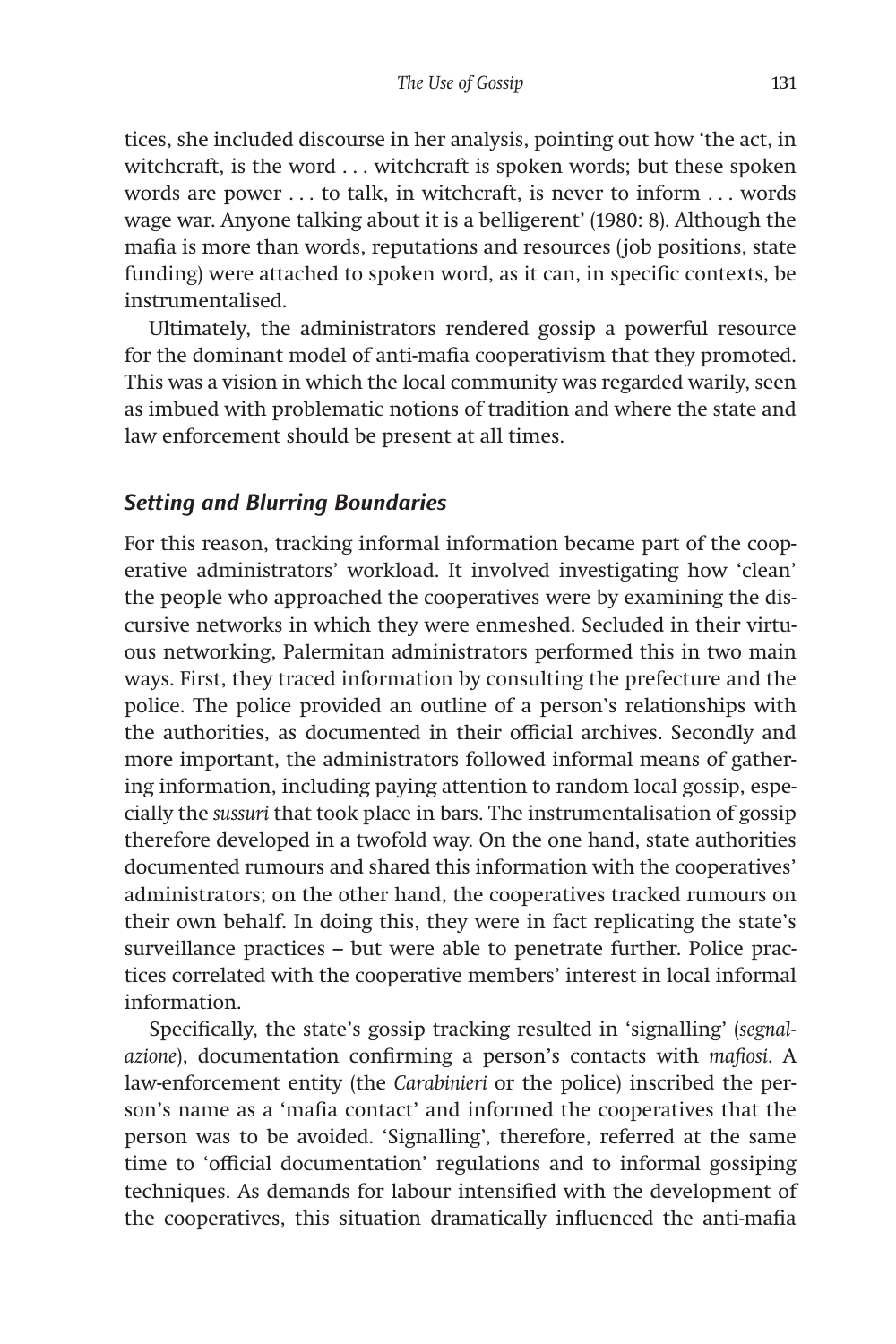tices, she included discourse in her analysis, pointing out how 'the act, in witchcraft, is the word . . . witchcraft is spoken words; but these spoken words are power . . . to talk, in witchcraft, is never to inform . . . words wage war. Anyone talking about it is a belligerent' (1980: 8). Although the mafia is more than words, reputations and resources (job positions, state funding) were attached to spoken word, as it can, in specific contexts, be instrumentalised.

Ultimately, the administrators rendered gossip a powerful resource for the dominant model of anti-mafia cooperativism that they promoted. This was a vision in which the local community was regarded warily, seen as imbued with problematic notions of tradition and where the state and law enforcement should be present at all times.

### *Setting and Blurring Boundaries*

For this reason, tracking informal information became part of the cooperative administrators' workload. It involved investigating how 'clean' the people who approached the cooperatives were by examining the discursive networks in which they were enmeshed. Secluded in their virtuous networking, Palermitan administrators performed this in two main ways. First, they traced information by consulting the prefecture and the police. The police provided an outline of a person's relationships with the authorities, as documented in their official archives. Secondly and more important, the administrators followed informal means of gathering information, including paying attention to random local gossip, especially the *sussuri* that took place in bars. The instrumentalisation of gossip therefore developed in a twofold way. On the one hand, state authorities documented rumours and shared this information with the cooperatives' administrators; on the other hand, the cooperatives tracked rumours on their own behalf. In doing this, they were in fact replicating the state's surveillance practices – but were able to penetrate further. Police practices correlated with the cooperative members' interest in local informal information.

Specifically, the state's gossip tracking resulted in 'signalling' (*segnalazione*), documentation confirming a person's contacts with *mafiosi*. A law-enforcement entity (the *Carabinieri* or the police) inscribed the person's name as a 'mafia contact' and informed the cooperatives that the person was to be avoided. 'Signalling', therefore, referred at the same time to 'official documentation' regulations and to informal gossiping techniques. As demands for labour intensified with the development of the cooperatives, this situation dramatically influenced the anti-mafia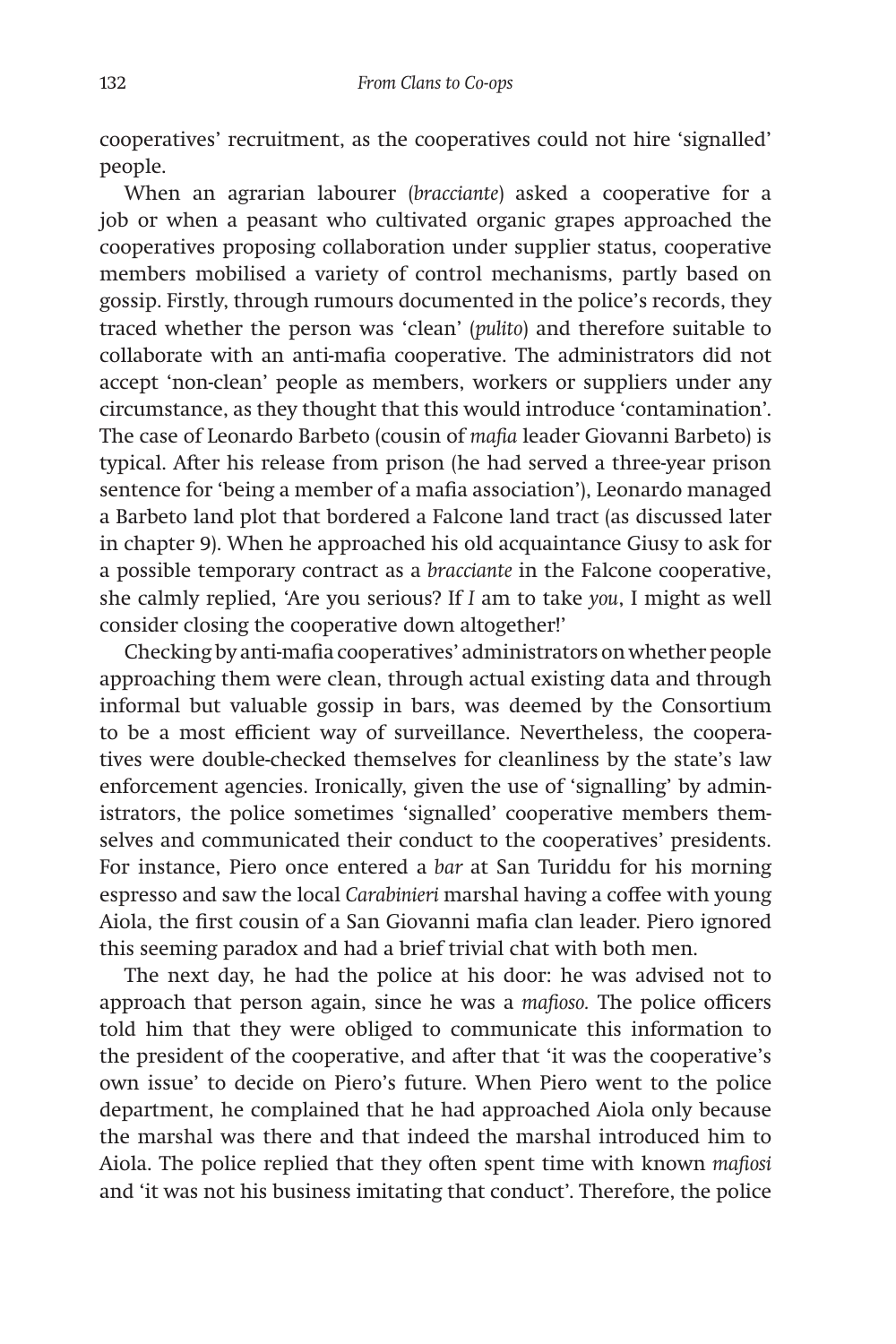cooperatives' recruitment, as the cooperatives could not hire 'signalled' people.

When an agrarian labourer (*bracciante*) asked a cooperative for a job or when a peasant who cultivated organic grapes approached the cooperatives proposing collaboration under supplier status, cooperative members mobilised a variety of control mechanisms, partly based on gossip. Firstly, through rumours documented in the police's records, they traced whether the person was 'clean' (*pulito*) and therefore suitable to collaborate with an anti-mafia cooperative. The administrators did not accept 'non-clean' people as members, workers or suppliers under any circumstance, as they thought that this would introduce 'contamination'. The case of Leonardo Barbeto (cousin of *mafia* leader Giovanni Barbeto) is typical. After his release from prison (he had served a three-year prison sentence for 'being a member of a mafia association'), Leonardo managed a Barbeto land plot that bordered a Falcone land tract (as discussed later in chapter 9). When he approached his old acquaintance Giusy to ask for a possible temporary contract as a *bracciante* in the Falcone cooperative, she calmly replied, 'Are you serious? If *I* am to take *you*, I might as well consider closing the cooperative down altogether!'

Checking by anti-mafia cooperatives' administrators on whether people approaching them were clean, through actual existing data and through informal but valuable gossip in bars, was deemed by the Consortium to be a most efficient way of surveillance. Nevertheless, the cooperatives were double-checked themselves for cleanliness by the state's law enforcement agencies. Ironically, given the use of 'signalling' by administrators, the police sometimes 'signalled' cooperative members themselves and communicated their conduct to the cooperatives' presidents. For instance, Piero once entered a *bar* at San Turiddu for his morning espresso and saw the local *Carabinieri* marshal having a coffee with young Aiola, the first cousin of a San Giovanni mafia clan leader. Piero ignored this seeming paradox and had a brief trivial chat with both men.

The next day, he had the police at his door: he was advised not to approach that person again, since he was a *mafioso.* The police officers told him that they were obliged to communicate this information to the president of the cooperative, and after that 'it was the cooperative's own issue' to decide on Piero's future. When Piero went to the police department, he complained that he had approached Aiola only because the marshal was there and that indeed the marshal introduced him to Aiola. The police replied that they often spent time with known *mafiosi*  and 'it was not his business imitating that conduct'. Therefore, the police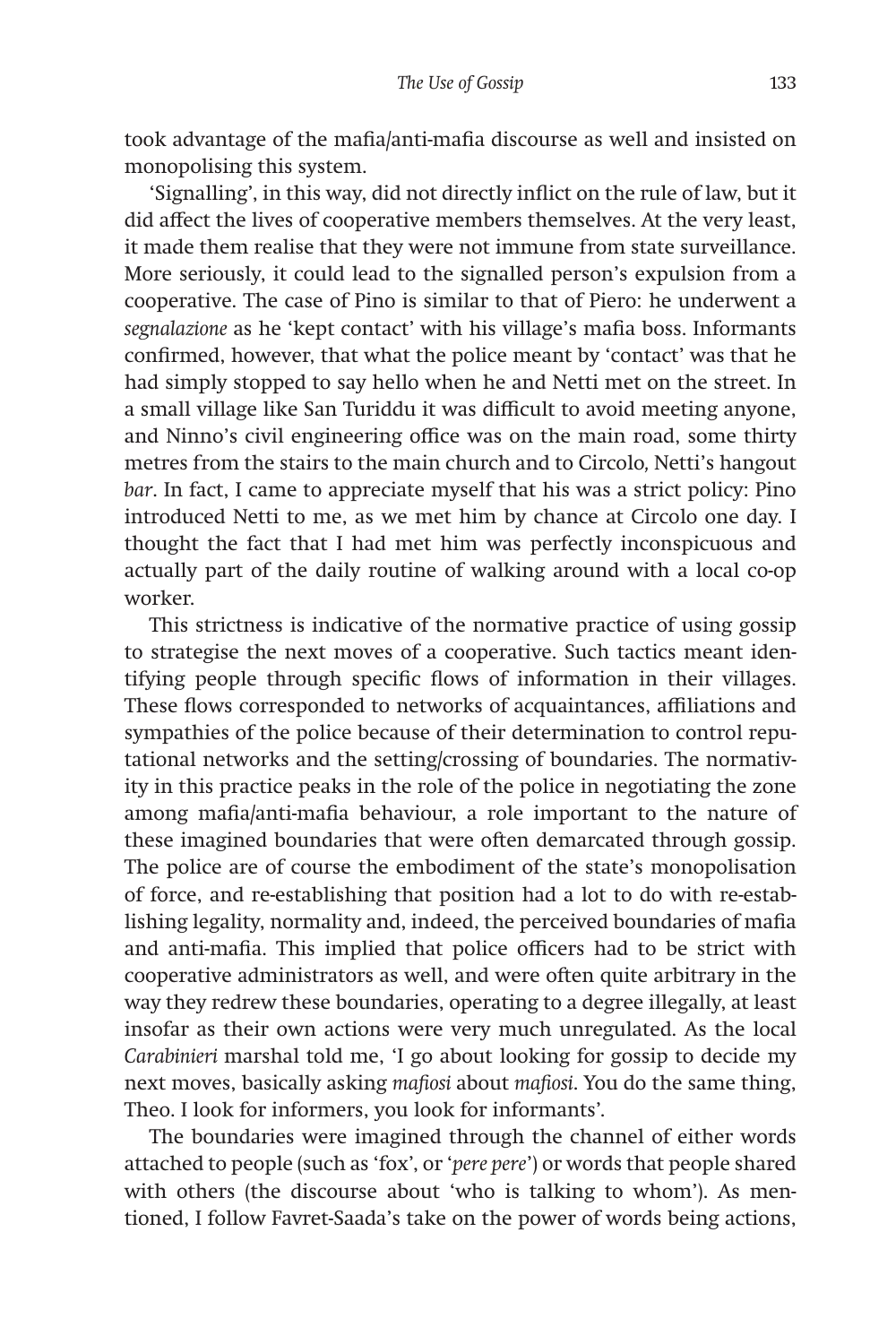took advantage of the mafia/anti-mafia discourse as well and insisted on monopolising this system.

'Signalling', in this way, did not directly inflict on the rule of law, but it did affect the lives of cooperative members themselves. At the very least, it made them realise that they were not immune from state surveillance. More seriously, it could lead to the signalled person's expulsion from a cooperative. The case of Pino is similar to that of Piero: he underwent a *segnalazione* as he 'kept contact' with his village's mafia boss. Informants confirmed, however, that what the police meant by 'contact' was that he had simply stopped to say hello when he and Netti met on the street. In a small village like San Turiddu it was difficult to avoid meeting anyone, and Ninno's civil engineering office was on the main road, some thirty metres from the stairs to the main church and to Circolo*,* Netti's hangout *bar*. In fact, I came to appreciate myself that his was a strict policy: Pino introduced Netti to me, as we met him by chance at Circolo one day. I thought the fact that I had met him was perfectly inconspicuous and actually part of the daily routine of walking around with a local co-op worker.

This strictness is indicative of the normative practice of using gossip to strategise the next moves of a cooperative. Such tactics meant identifying people through specific flows of information in their villages. These flows corresponded to networks of acquaintances, affiliations and sympathies of the police because of their determination to control reputational networks and the setting/crossing of boundaries. The normativity in this practice peaks in the role of the police in negotiating the zone among mafia/anti-mafia behaviour, a role important to the nature of these imagined boundaries that were often demarcated through gossip. The police are of course the embodiment of the state's monopolisation of force, and re-establishing that position had a lot to do with re-establishing legality, normality and, indeed, the perceived boundaries of mafia and anti-mafia. This implied that police officers had to be strict with cooperative administrators as well, and were often quite arbitrary in the way they redrew these boundaries, operating to a degree illegally, at least insofar as their own actions were very much unregulated. As the local *Carabinieri* marshal told me, 'I go about looking for gossip to decide my next moves, basically asking *mafiosi* about *mafiosi*. You do the same thing, Theo. I look for informers, you look for informants'.

The boundaries were imagined through the channel of either words attached to people (such as 'fox', or '*pere pere*') or words that people shared with others (the discourse about 'who is talking to whom'). As mentioned, I follow Favret-Saada's take on the power of words being actions,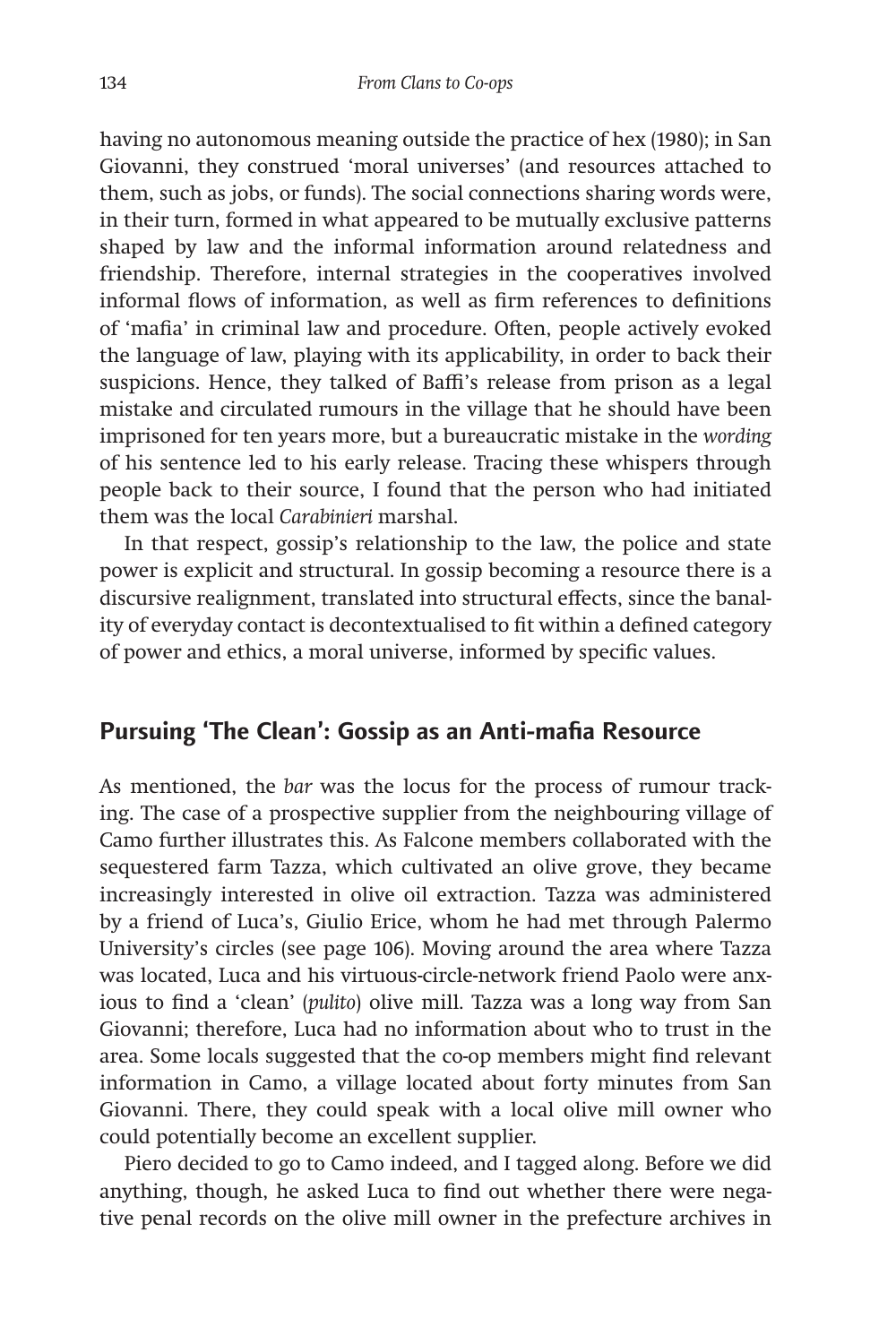having no autonomous meaning outside the practice of hex (1980); in San Giovanni, they construed 'moral universes' (and resources attached to them, such as jobs, or funds). The social connections sharing words were, in their turn, formed in what appeared to be mutually exclusive patterns shaped by law and the informal information around relatedness and friendship. Therefore, internal strategies in the cooperatives involved informal flows of information, as well as firm references to definitions of 'mafia' in criminal law and procedure. Often, people actively evoked the language of law, playing with its applicability, in order to back their suspicions. Hence, they talked of Baffi's release from prison as a legal mistake and circulated rumours in the village that he should have been imprisoned for ten years more, but a bureaucratic mistake in the *wording*  of his sentence led to his early release. Tracing these whispers through people back to their source, I found that the person who had initiated them was the local *Carabinieri* marshal.

In that respect, gossip's relationship to the law, the police and state power is explicit and structural. In gossip becoming a resource there is a discursive realignment, translated into structural effects, since the banality of everyday contact is decontextualised to fit within a defined category of power and ethics, a moral universe, informed by specific values.

## **Pursuing 'The Clean': Gossip as an Anti-mafia Resource**

As mentioned, the *bar* was the locus for the process of rumour tracking. The case of a prospective supplier from the neighbouring village of Camo further illustrates this. As Falcone members collaborated with the sequestered farm Tazza, which cultivated an olive grove, they became increasingly interested in olive oil extraction. Tazza was administered by a friend of Luca's, Giulio Erice, whom he had met through Palermo University's circles (see page 106). Moving around the area where Tazza was located, Luca and his virtuous-circle-network friend Paolo were anxious to find a 'clean' (*pulito*) olive mill. Tazza was a long way from San Giovanni; therefore, Luca had no information about who to trust in the area. Some locals suggested that the co-op members might find relevant information in Camo, a village located about forty minutes from San Giovanni. There, they could speak with a local olive mill owner who could potentially become an excellent supplier.

Piero decided to go to Camo indeed, and I tagged along. Before we did anything, though, he asked Luca to find out whether there were negative penal records on the olive mill owner in the prefecture archives in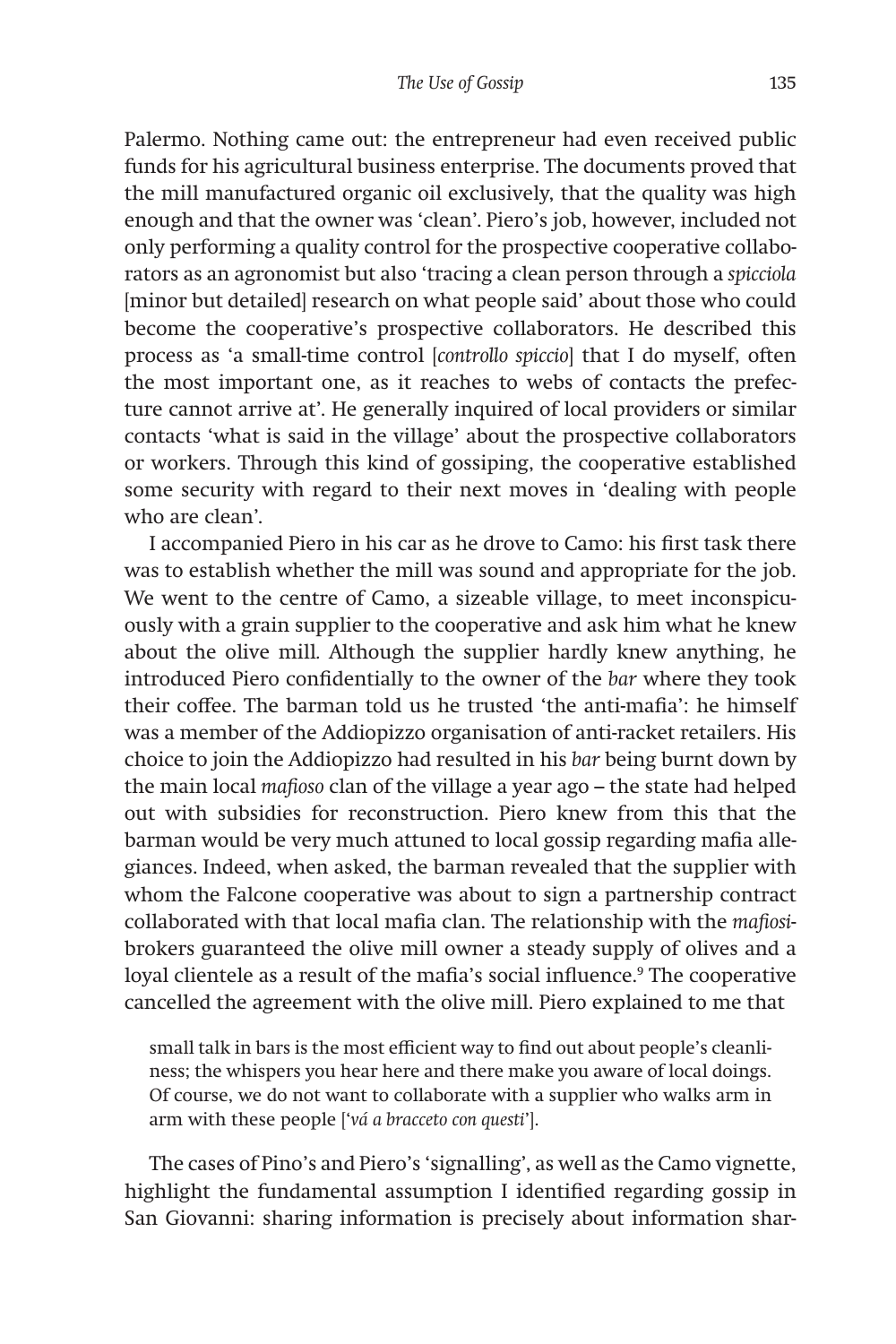Palermo. Nothing came out: the entrepreneur had even received public funds for his agricultural business enterprise. The documents proved that the mill manufactured organic oil exclusively, that the quality was high enough and that the owner was 'clean'. Piero's job, however, included not only performing a quality control for the prospective cooperative collaborators as an agronomist but also 'tracing a clean person through a *spicciola*  [minor but detailed] research on what people said' about those who could become the cooperative's prospective collaborators. He described this process as 'a small-time control [*controllo spiccio*] that I do myself, often the most important one, as it reaches to webs of contacts the prefecture cannot arrive at'. He generally inquired of local providers or similar contacts 'what is said in the village' about the prospective collaborators or workers. Through this kind of gossiping, the cooperative established some security with regard to their next moves in 'dealing with people who are clean'.

I accompanied Piero in his car as he drove to Camo: his first task there was to establish whether the mill was sound and appropriate for the job. We went to the centre of Camo, a sizeable village, to meet inconspicuously with a grain supplier to the cooperative and ask him what he knew about the olive mill*.* Although the supplier hardly knew anything, he introduced Piero confidentially to the owner of the *bar* where they took their coffee. The barman told us he trusted 'the anti-mafia': he himself was a member of the Addiopizzo organisation of anti-racket retailers. His choice to join the Addiopizzo had resulted in his *bar* being burnt down by the main local *mafioso* clan of the village a year ago – the state had helped out with subsidies for reconstruction. Piero knew from this that the barman would be very much attuned to local gossip regarding mafia allegiances. Indeed, when asked, the barman revealed that the supplier with whom the Falcone cooperative was about to sign a partnership contract collaborated with that local mafia clan. The relationship with the *mafiosi*brokers guaranteed the olive mill owner a steady supply of olives and a loyal clientele as a result of the mafia's social influence.<sup>9</sup> The cooperative cancelled the agreement with the olive mill. Piero explained to me that

small talk in bars is the most efficient way to find out about people's cleanliness; the whispers you hear here and there make you aware of local doings. Of course, we do not want to collaborate with a supplier who walks arm in arm with these people ['*vá a bracceto con questi*'].

The cases of Pino's and Piero's 'signalling', as well as the Camo vignette, highlight the fundamental assumption I identified regarding gossip in San Giovanni: sharing information is precisely about information shar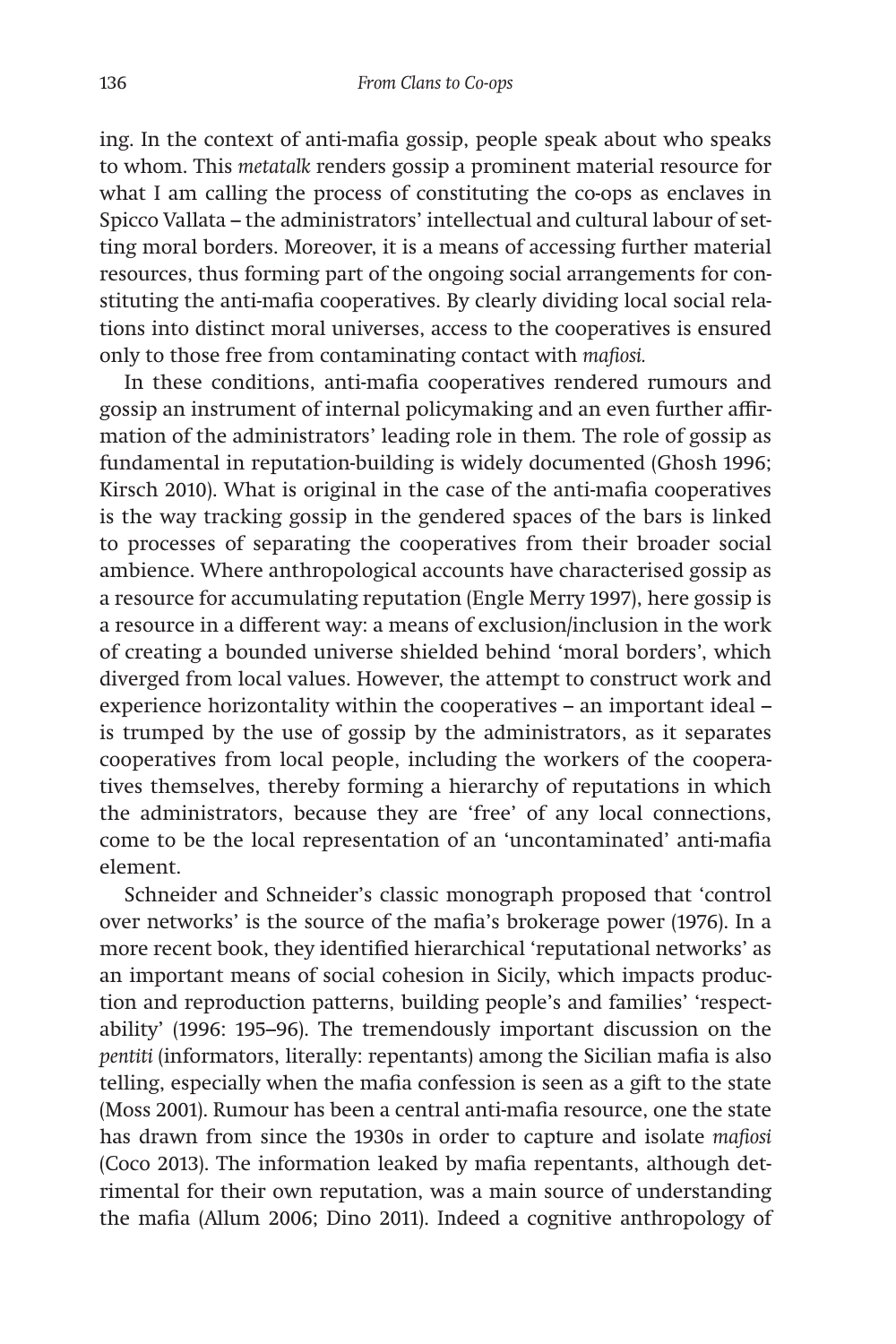ing. In the context of anti-mafia gossip, people speak about who speaks to whom. This *metatalk* renders gossip a prominent material resource for what I am calling the process of constituting the co-ops as enclaves in Spicco Vallata – the administrators' intellectual and cultural labour of setting moral borders. Moreover, it is a means of accessing further material resources, thus forming part of the ongoing social arrangements for constituting the anti-mafia cooperatives. By clearly dividing local social relations into distinct moral universes, access to the cooperatives is ensured only to those free from contaminating contact with *mafiosi.*

In these conditions, anti-mafia cooperatives rendered rumours and gossip an instrument of internal policymaking and an even further affirmation of the administrators' leading role in them*.* The role of gossip as fundamental in reputation-building is widely documented (Ghosh 1996; Kirsch 2010). What is original in the case of the anti-mafia cooperatives is the way tracking gossip in the gendered spaces of the bars is linked to processes of separating the cooperatives from their broader social ambience. Where anthropological accounts have characterised gossip as a resource for accumulating reputation (Engle Merry 1997), here gossip is a resource in a different way: a means of exclusion/inclusion in the work of creating a bounded universe shielded behind 'moral borders', which diverged from local values. However, the attempt to construct work and experience horizontality within the cooperatives – an important ideal – is trumped by the use of gossip by the administrators, as it separates cooperatives from local people, including the workers of the cooperatives themselves, thereby forming a hierarchy of reputations in which the administrators, because they are 'free' of any local connections, come to be the local representation of an 'uncontaminated' anti-mafia element.

Schneider and Schneider's classic monograph proposed that 'control over networks' is the source of the mafia's brokerage power (1976). In a more recent book, they identified hierarchical 'reputational networks' as an important means of social cohesion in Sicily, which impacts production and reproduction patterns, building people's and families' 'respectability' (1996: 195–96). The tremendously important discussion on the *pentiti* (informators, literally: repentants) among the Sicilian mafia is also telling, especially when the mafia confession is seen as a gift to the state (Moss 2001). Rumour has been a central anti-mafia resource, one the state has drawn from since the 1930s in order to capture and isolate *mafiosi*  (Coco 2013). The information leaked by mafia repentants, although detrimental for their own reputation, was a main source of understanding the mafia (Allum 2006; Dino 2011). Indeed a cognitive anthropology of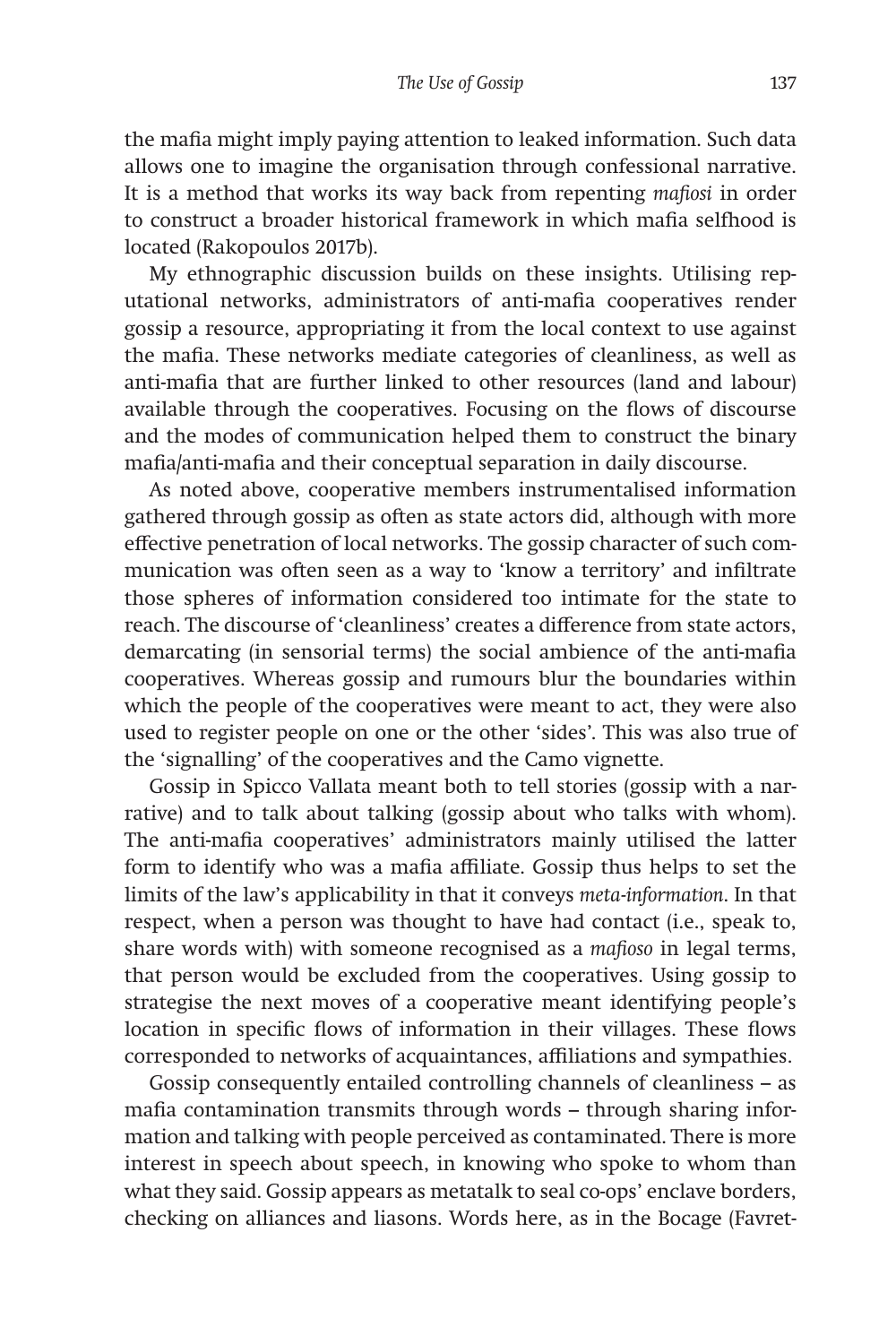the mafia might imply paying attention to leaked information. Such data allows one to imagine the organisation through confessional narrative. It is a method that works its way back from repenting *mafiosi* in order to construct a broader historical framework in which mafia selfhood is located (Rakopoulos 2017b).

My ethnographic discussion builds on these insights. Utilising reputational networks, administrators of anti-mafia cooperatives render gossip a resource, appropriating it from the local context to use against the mafia. These networks mediate categories of cleanliness, as well as anti-mafia that are further linked to other resources (land and labour) available through the cooperatives. Focusing on the flows of discourse and the modes of communication helped them to construct the binary mafia/anti-mafia and their conceptual separation in daily discourse.

As noted above, cooperative members instrumentalised information gathered through gossip as often as state actors did, although with more effective penetration of local networks. The gossip character of such communication was often seen as a way to 'know a territory' and infiltrate those spheres of information considered too intimate for the state to reach. The discourse of 'cleanliness' creates a difference from state actors, demarcating (in sensorial terms) the social ambience of the anti-mafia cooperatives. Whereas gossip and rumours blur the boundaries within which the people of the cooperatives were meant to act, they were also used to register people on one or the other 'sides'. This was also true of the 'signalling' of the cooperatives and the Camo vignette.

Gossip in Spicco Vallata meant both to tell stories (gossip with a narrative) and to talk about talking (gossip about who talks with whom). The anti-mafia cooperatives' administrators mainly utilised the latter form to identify who was a mafia affiliate. Gossip thus helps to set the limits of the law's applicability in that it conveys *meta-information*. In that respect, when a person was thought to have had contact (i.e., speak to, share words with) with someone recognised as a *mafioso* in legal terms, that person would be excluded from the cooperatives. Using gossip to strategise the next moves of a cooperative meant identifying people's location in specific flows of information in their villages. These flows corresponded to networks of acquaintances, affiliations and sympathies.

Gossip consequently entailed controlling channels of cleanliness – as mafia contamination transmits through words – through sharing information and talking with people perceived as contaminated. There is more interest in speech about speech, in knowing who spoke to whom than what they said. Gossip appears as metatalk to seal co-ops' enclave borders, checking on alliances and liasons. Words here, as in the Bocage (Favret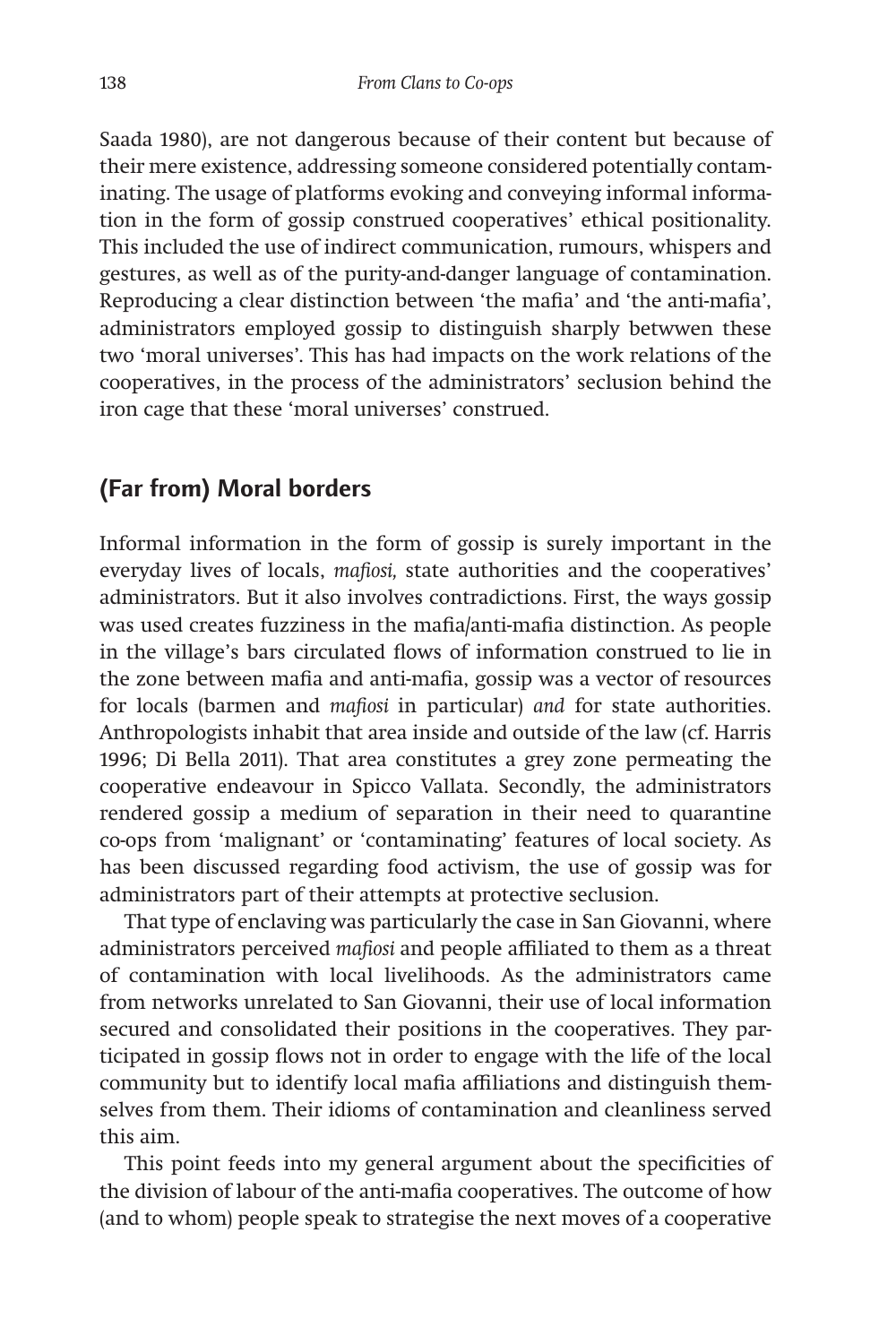Saada 1980), are not dangerous because of their content but because of their mere existence, addressing someone considered potentially contaminating. The usage of platforms evoking and conveying informal information in the form of gossip construed cooperatives' ethical positionality. This included the use of indirect communication, rumours, whispers and gestures, as well as of the purity-and-danger language of contamination. Reproducing a clear distinction between 'the mafia' and 'the anti-mafia', administrators employed gossip to distinguish sharply betwwen these two 'moral universes'. This has had impacts on the work relations of the cooperatives, in the process of the administrators' seclusion behind the iron cage that these 'moral universes' construed.

# **(Far from) Moral borders**

Informal information in the form of gossip is surely important in the everyday lives of locals, *mafiosi,* state authorities and the cooperatives' administrators. But it also involves contradictions. First, the ways gossip was used creates fuzziness in the mafia/anti-mafia distinction. As people in the village's bars circulated flows of information construed to lie in the zone between mafia and anti-mafia, gossip was a vector of resources for locals (barmen and *mafiosi* in particular) *and* for state authorities. Anthropologists inhabit that area inside and outside of the law (cf. Harris 1996; Di Bella 2011). That area constitutes a grey zone permeating the cooperative endeavour in Spicco Vallata. Secondly, the administrators rendered gossip a medium of separation in their need to quarantine co-ops from 'malignant' or 'contaminating' features of local society. As has been discussed regarding food activism, the use of gossip was for administrators part of their attempts at protective seclusion.

That type of enclaving was particularly the case in San Giovanni, where administrators perceived *mafiosi* and people affiliated to them as a threat of contamination with local livelihoods. As the administrators came from networks unrelated to San Giovanni, their use of local information secured and consolidated their positions in the cooperatives. They participated in gossip flows not in order to engage with the life of the local community but to identify local mafia affiliations and distinguish themselves from them. Their idioms of contamination and cleanliness served this aim.

This point feeds into my general argument about the specificities of the division of labour of the anti-mafia cooperatives. The outcome of how (and to whom) people speak to strategise the next moves of a cooperative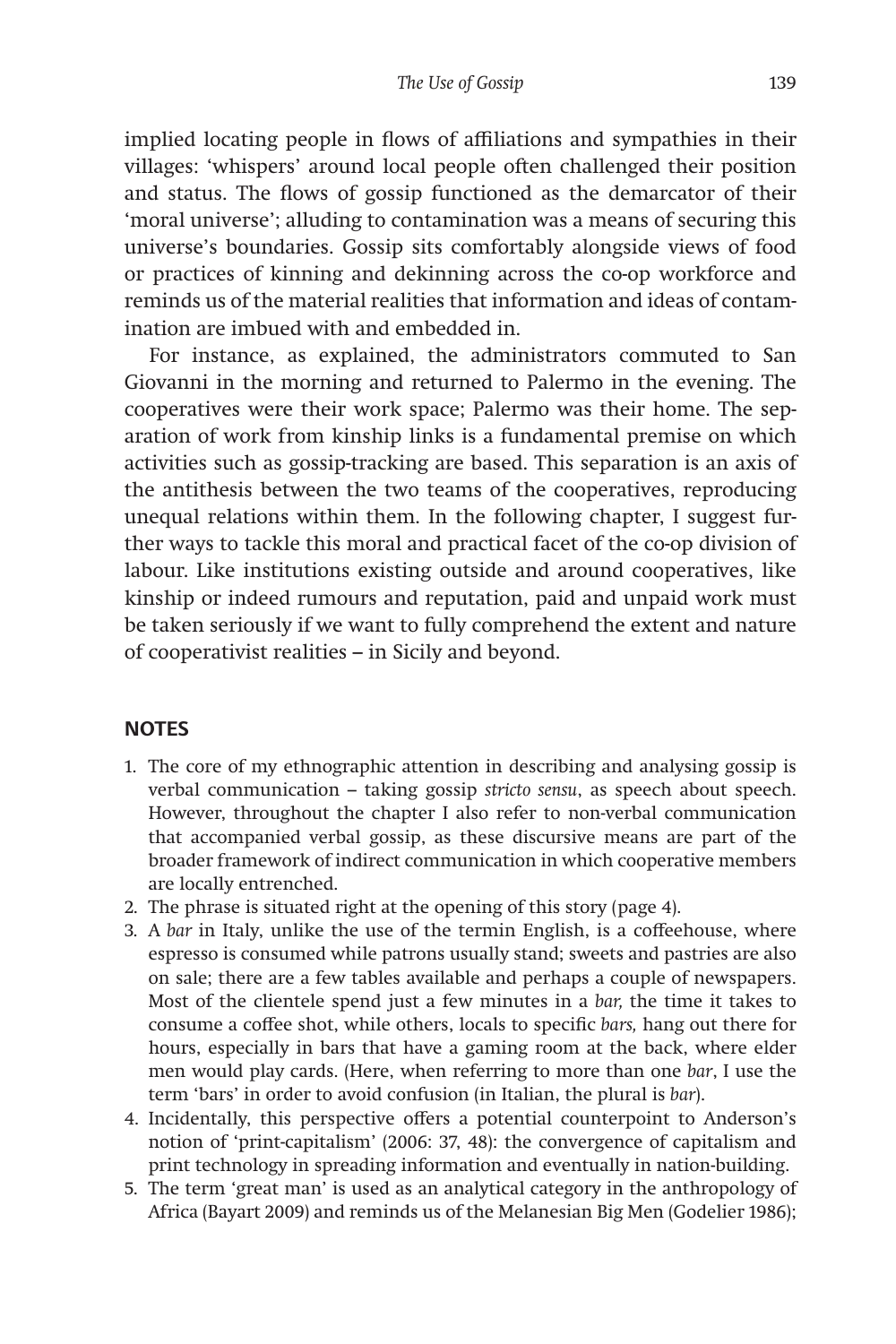implied locating people in flows of affiliations and sympathies in their villages: 'whispers' around local people often challenged their position and status. The flows of gossip functioned as the demarcator of their 'moral universe'; alluding to contamination was a means of securing this universe's boundaries. Gossip sits comfortably alongside views of food or practices of kinning and dekinning across the co-op workforce and reminds us of the material realities that information and ideas of contamination are imbued with and embedded in.

For instance, as explained, the administrators commuted to San Giovanni in the morning and returned to Palermo in the evening. The cooperatives were their work space; Palermo was their home. The separation of work from kinship links is a fundamental premise on which activities such as gossip-tracking are based. This separation is an axis of the antithesis between the two teams of the cooperatives, reproducing unequal relations within them. In the following chapter, I suggest further ways to tackle this moral and practical facet of the co-op division of labour. Like institutions existing outside and around cooperatives, like kinship or indeed rumours and reputation, paid and unpaid work must be taken seriously if we want to fully comprehend the extent and nature of cooperativist realities – in Sicily and beyond.

#### **NOTES**

- 1. The core of my ethnographic attention in describing and analysing gossip is verbal communication – taking gossip *stricto sensu*, as speech about speech. However, throughout the chapter I also refer to non-verbal communication that accompanied verbal gossip, as these discursive means are part of the broader framework of indirect communication in which cooperative members are locally entrenched.
- 2. The phrase is situated right at the opening of this story (page 4).
- 3. A *bar* in Italy, unlike the use of the termin English, is a coffeehouse, where espresso is consumed while patrons usually stand; sweets and pastries are also on sale; there are a few tables available and perhaps a couple of newspapers. Most of the clientele spend just a few minutes in a *bar,* the time it takes to consume a coffee shot, while others, locals to specific *bars,* hang out there for hours, especially in bars that have a gaming room at the back, where elder men would play cards. (Here, when referring to more than one *bar*, I use the term 'bars' in order to avoid confusion (in Italian, the plural is *bar*).
- 4. Incidentally, this perspective offers a potential counterpoint to Anderson's notion of 'print-capitalism' (2006: 37, 48): the convergence of capitalism and print technology in spreading information and eventually in nation-building.
- 5. The term 'great man' is used as an analytical category in the anthropology of Africa (Bayart 2009) and reminds us of the Melanesian Big Men (Godelier 1986);